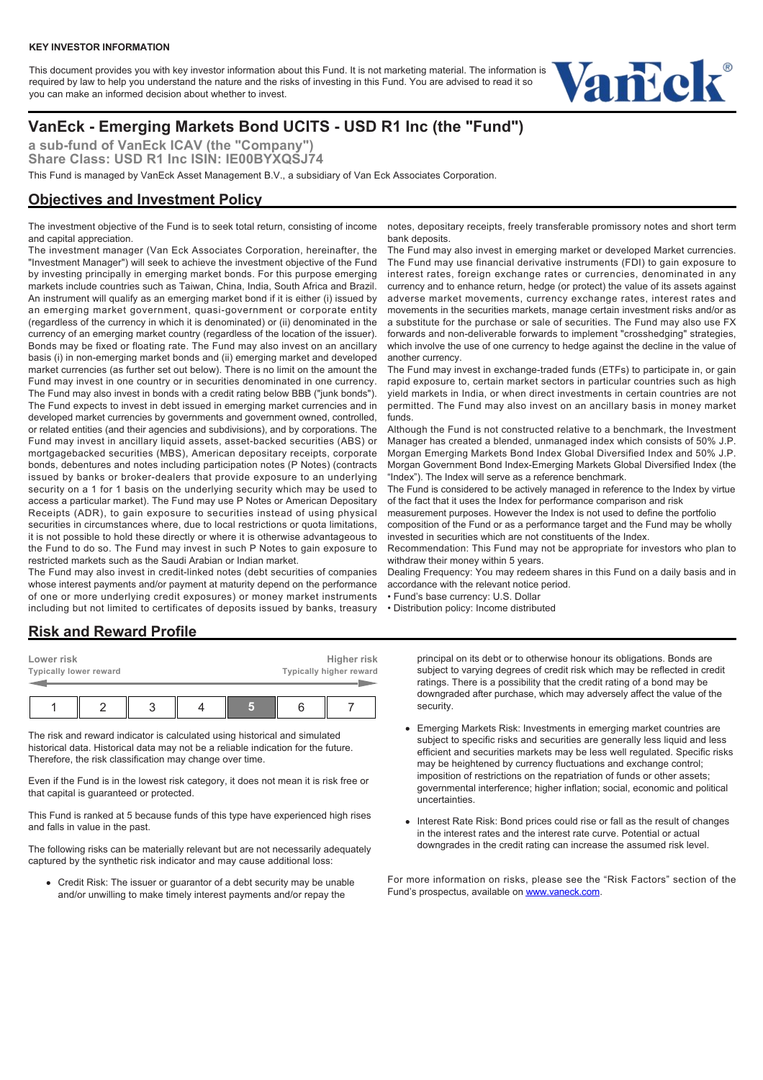#### **KEY INVESTOR INFORMATION**

This document provides you with key investor information about this Fund. It is not marketing material. The information is required by law to help you understand the nature and the risks of investing in this Fund. You are advised to read it so you can make an informed decision about whether to invest.



# **VanEck - Emerging Markets Bond UCITS - USD R1 Inc (the "Fund")**

**a sub-fund of VanEck ICAV (the "Company") Share Class: USD R1 Inc ISIN: IE00BYXQSJ74**

This Fund is managed by VanEck Asset Management B.V., a subsidiary of Van Eck Associates Corporation.

## **Objectives and Investment Policy**

The investment objective of the Fund is to seek total return, consisting of income and capital appreciation.

The investment manager (Van Eck Associates Corporation, hereinafter, the "Investment Manager") will seek to achieve the investment objective of the Fund by investing principally in emerging market bonds. For this purpose emerging markets include countries such as Taiwan, China, India, South Africa and Brazil. An instrument will qualify as an emerging market bond if it is either (i) issued by an emerging market government, quasi-government or corporate entity (regardless of the currency in which it is denominated) or (ii) denominated in the currency of an emerging market country (regardless of the location of the issuer). Bonds may be fixed or floating rate. The Fund may also invest on an ancillary basis (i) in non-emerging market bonds and (ii) emerging market and developed market currencies (as further set out below). There is no limit on the amount the Fund may invest in one country or in securities denominated in one currency. The Fund may also invest in bonds with a credit rating below BBB ("junk bonds"). The Fund expects to invest in debt issued in emerging market currencies and in developed market currencies by governments and government owned, controlled, or related entities (and their agencies and subdivisions), and by corporations. The Fund may invest in ancillary liquid assets, asset-backed securities (ABS) or mortgagebacked securities (MBS), American depositary receipts, corporate bonds, debentures and notes including participation notes (P Notes) (contracts issued by banks or broker-dealers that provide exposure to an underlying security on a 1 for 1 basis on the underlying security which may be used to access a particular market). The Fund may use P Notes or American Depositary Receipts (ADR), to gain exposure to securities instead of using physical securities in circumstances where, due to local restrictions or quota limitations, it is not possible to hold these directly or where it is otherwise advantageous to the Fund to do so. The Fund may invest in such P Notes to gain exposure to restricted markets such as the Saudi Arabian or Indian market.

The Fund may also invest in credit-linked notes (debt securities of companies whose interest payments and/or payment at maturity depend on the performance of one or more underlying credit exposures) or money market instruments including but not limited to certificates of deposits issued by banks, treasury

**Risk and Reward Profile**

| Lower risk<br>Typically higher reward<br>Typically lower reward |  |  |  |  |  | Higher risk |  |  |
|-----------------------------------------------------------------|--|--|--|--|--|-------------|--|--|
|                                                                 |  |  |  |  |  |             |  |  |

The risk and reward indicator is calculated using historical and simulated historical data. Historical data may not be a reliable indication for the future. Therefore, the risk classification may change over time.

Even if the Fund is in the lowest risk category, it does not mean it is risk free or that capital is guaranteed or protected.

This Fund is ranked at 5 because funds of this type have experienced high rises and falls in value in the past.

The following risks can be materially relevant but are not necessarily adequately captured by the synthetic risk indicator and may cause additional loss:

Credit Risk: The issuer or guarantor of a debt security may be unable and/or unwilling to make timely interest payments and/or repay the

notes, depositary receipts, freely transferable promissory notes and short term bank deposits.

The Fund may also invest in emerging market or developed Market currencies. The Fund may use financial derivative instruments (FDI) to gain exposure to interest rates, foreign exchange rates or currencies, denominated in any currency and to enhance return, hedge (or protect) the value of its assets against adverse market movements, currency exchange rates, interest rates and movements in the securities markets, manage certain investment risks and/or as a substitute for the purchase or sale of securities. The Fund may also use FX forwards and non-deliverable forwards to implement "crosshedging" strategies, which involve the use of one currency to hedge against the decline in the value of another currency.

The Fund may invest in exchange-traded funds (ETFs) to participate in, or gain rapid exposure to, certain market sectors in particular countries such as high yield markets in India, or when direct investments in certain countries are not permitted. The Fund may also invest on an ancillary basis in money market funds.

Although the Fund is not constructed relative to a benchmark, the Investment Manager has created a blended, unmanaged index which consists of 50% J.P. Morgan Emerging Markets Bond Index Global Diversified Index and 50% J.P. Morgan Government Bond Index-Emerging Markets Global Diversified Index (the "Index"). The Index will serve as a reference benchmark.

The Fund is considered to be actively managed in reference to the Index by virtue of the fact that it uses the Index for performance comparison and risk

measurement purposes. However the Index is not used to define the portfolio composition of the Fund or as a performance target and the Fund may be wholly

invested in securities which are not constituents of the Index. Recommendation: This Fund may not be appropriate for investors who plan to withdraw their money within 5 years.

Dealing Frequency: You may redeem shares in this Fund on a daily basis and in accordance with the relevant notice period.

• Fund's base currency: U.S. Dollar

• Distribution policy: Income distributed

principal on its debt or to otherwise honour its obligations. Bonds are subject to varying degrees of credit risk which may be reflected in credit ratings. There is a possibility that the credit rating of a bond may be downgraded after purchase, which may adversely affect the value of the security.

- Emerging Markets Risk: Investments in emerging market countries are subject to specific risks and securities are generally less liquid and less efficient and securities markets may be less well regulated. Specific risks may be heightened by currency fluctuations and exchange control; imposition of restrictions on the repatriation of funds or other assets; governmental interference; higher inflation; social, economic and political uncertainties.
- Interest Rate Risk: Bond prices could rise or fall as the result of changes in the interest rates and the interest rate curve. Potential or actual downgrades in the credit rating can increase the assumed risk level.

For more information on risks, please see the "Risk Factors" section of the Fund's prospectus, available on [www.vaneck.com.](https://www.vaneck.com)